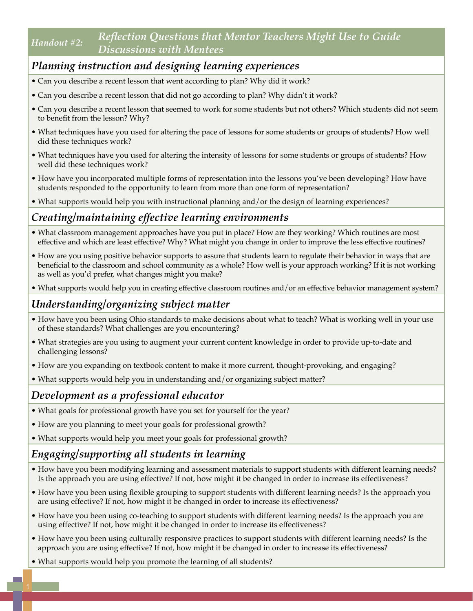### *Handout #2: Reflection Questions that Mentor Teachers Might Use to Guide Discussions with Mentees*

# *Planning instruction and designing learning experiences*

- Can you describe a recent lesson that went according to plan? Why did it work?
- Can you describe a recent lesson that did not go according to plan? Why didn't it work?
- Can you describe a recent lesson that seemed to work for some students but not others? Which students did not seem to benefit from the lesson? Why?
- What techniques have you used for altering the pace of lessons for some students or groups of students? How well did these techniques work?
- What techniques have you used for altering the intensity of lessons for some students or groups of students? How well did these techniques work?
- How have you incorporated multiple forms of representation into the lessons you've been developing? How have students responded to the opportunity to learn from more than one form of representation?
- What supports would help you with instructional planning and/or the design of learning experiences?

### *Creating/maintaining effective learning environments*

- What classroom management approaches have you put in place? How are they working? Which routines are most effective and which are least effective? Why? What might you change in order to improve the less effective routines?
- How are you using positive behavior supports to assure that students learn to regulate their behavior in ways that are beneficial to the classroom and school community as a whole? How well is your approach working? If it is not working as well as you'd prefer, what changes might you make?
- What supports would help you in creating effective classroom routines and/or an effective behavior management system?

## *Understanding/organizing subject matter*

- How have you been using Ohio standards to make decisions about what to teach? What is working well in your use of these standards? What challenges are you encountering?
- What strategies are you using to augment your current content knowledge in order to provide up-to-date and challenging lessons?
- How are you expanding on textbook content to make it more current, thought-provoking, and engaging?
- What supports would help you in understanding and/or organizing subject matter?

#### *Development as a professional educator*

- What goals for professional growth have you set for yourself for the year?
- How are you planning to meet your goals for professional growth?
- What supports would help you meet your goals for professional growth?

#### *Engaging/supporting all students in learning*

- How have you been modifying learning and assessment materials to support students with different learning needs? Is the approach you are using effective? If not, how might it be changed in order to increase its effectiveness?
- How have you been using flexible grouping to support students with different learning needs? Is the approach you are using effective? If not, how might it be changed in order to increase its effectiveness?
- How have you been using co-teaching to support students with different learning needs? Is the approach you are using effective? If not, how might it be changed in order to increase its effectiveness?
- How have you been using culturally responsive practices to support students with different learning needs? Is the approach you are using effective? If not, how might it be changed in order to increase its effectiveness?
- What supports would help you promote the learning of all students?